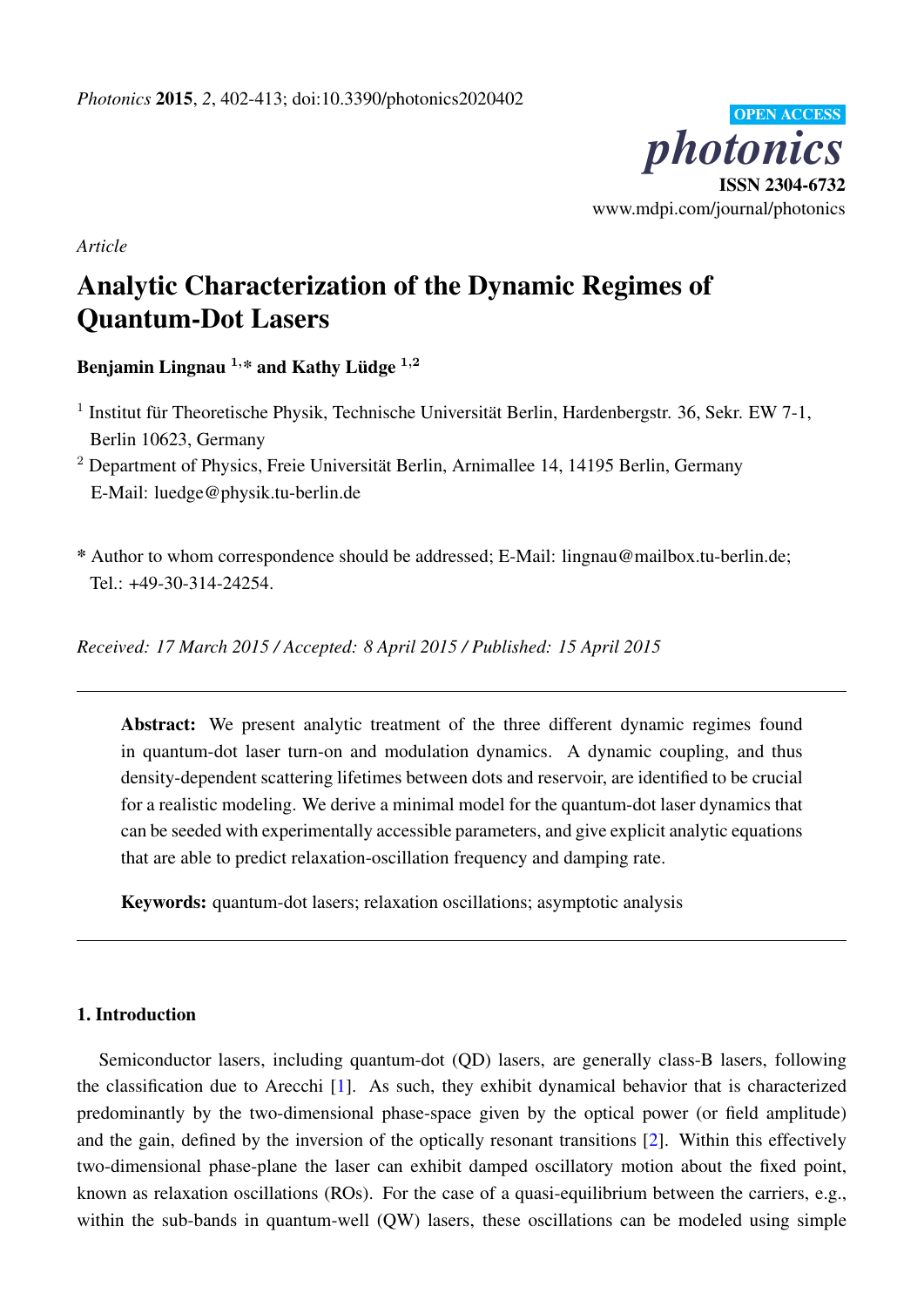

*Article*

# Analytic Characterization of the Dynamic Regimes of Quantum-Dot Lasers

Benjamin Lingnau  $1, *$  and Kathy Lüdge  $1,2$ 

- <sup>1</sup> Institut für Theoretische Physik, Technische Universität Berlin, Hardenbergstr. 36, Sekr. EW 7-1, Berlin 10623, Germany
- <sup>2</sup> Department of Physics, Freie Universität Berlin, Arnimallee 14, 14195 Berlin, Germany E-Mail: luedge@physik.tu-berlin.de
- \* Author to whom correspondence should be addressed; E-Mail: lingnau@mailbox.tu-berlin.de; Tel.: +49-30-314-24254.

*Received: 17 March 2015 / Accepted: 8 April 2015 / Published: 15 April 2015*

Abstract: We present analytic treatment of the three different dynamic regimes found in quantum-dot laser turn-on and modulation dynamics. A dynamic coupling, and thus density-dependent scattering lifetimes between dots and reservoir, are identified to be crucial for a realistic modeling. We derive a minimal model for the quantum-dot laser dynamics that can be seeded with experimentally accessible parameters, and give explicit analytic equations that are able to predict relaxation-oscillation frequency and damping rate.

Keywords: quantum-dot lasers; relaxation oscillations; asymptotic analysis

# 1. Introduction

Semiconductor lasers, including quantum-dot (QD) lasers, are generally class-B lasers, following the classification due to Arecchi [\[1\]](#page-9-0). As such, they exhibit dynamical behavior that is characterized predominantly by the two-dimensional phase-space given by the optical power (or field amplitude) and the gain, defined by the inversion of the optically resonant transitions [\[2\]](#page-9-1). Within this effectively two-dimensional phase-plane the laser can exhibit damped oscillatory motion about the fixed point, known as relaxation oscillations (ROs). For the case of a quasi-equilibrium between the carriers, e.g., within the sub-bands in quantum-well (QW) lasers, these oscillations can be modeled using simple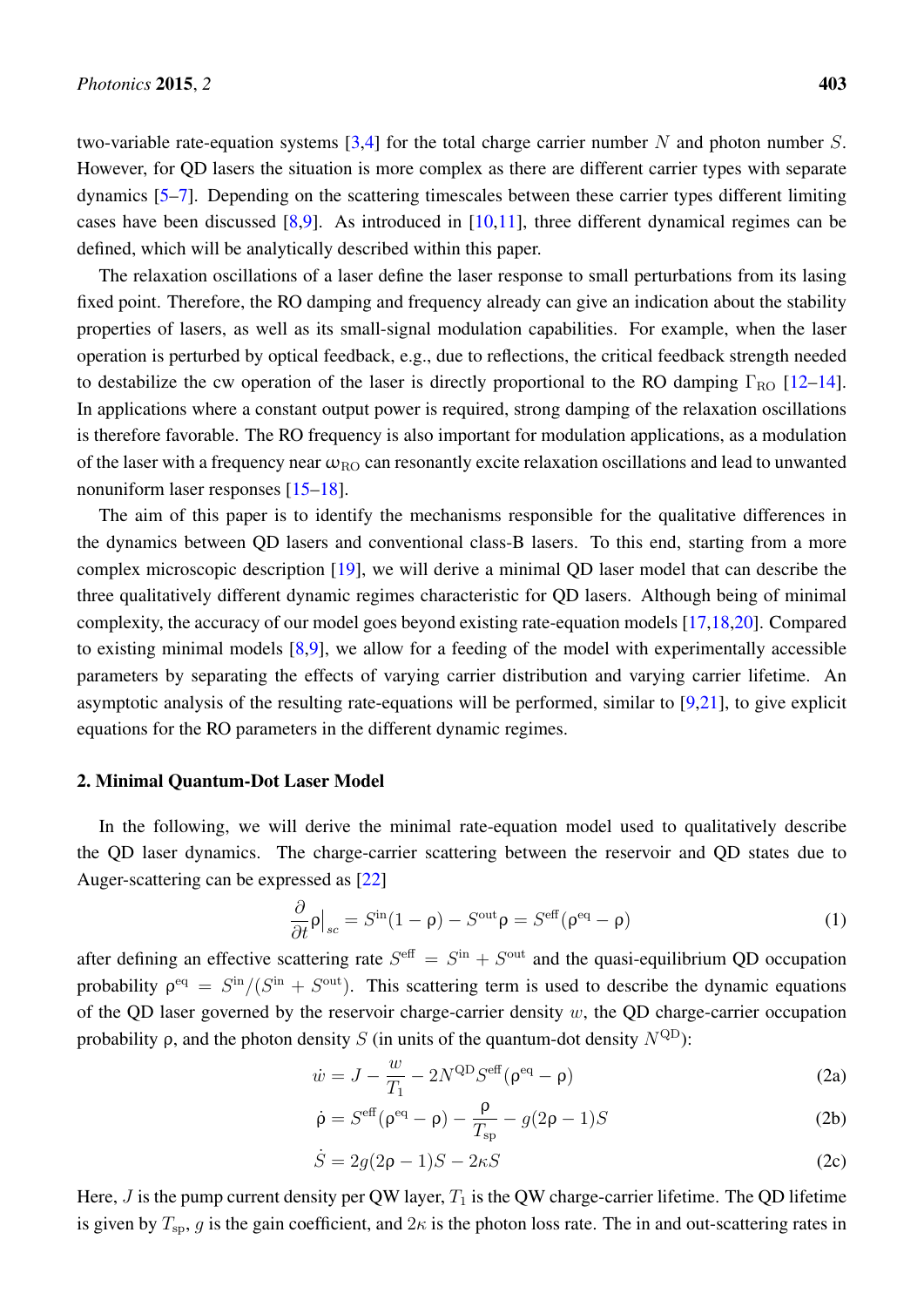two-variable rate-equation systems  $[3,4]$  $[3,4]$  for the total charge carrier number N and photon number S. However, for QD lasers the situation is more complex as there are different carrier types with separate dynamics [\[5](#page-10-2)[–7\]](#page-10-3). Depending on the scattering timescales between these carrier types different limiting cases have been discussed [\[8](#page-10-4)[,9\]](#page-10-5). As introduced in [\[10,](#page-10-6)[11\]](#page-10-7), three different dynamical regimes can be defined, which will be analytically described within this paper.

The relaxation oscillations of a laser define the laser response to small perturbations from its lasing fixed point. Therefore, the RO damping and frequency already can give an indication about the stability properties of lasers, as well as its small-signal modulation capabilities. For example, when the laser operation is perturbed by optical feedback, e.g., due to reflections, the critical feedback strength needed to destabilize the cw operation of the laser is directly proportional to the RO damping  $\Gamma_{\text{RO}}$  [\[12–](#page-10-8)[14\]](#page-10-9). In applications where a constant output power is required, strong damping of the relaxation oscillations is therefore favorable. The RO frequency is also important for modulation applications, as a modulation of the laser with a frequency near  $\omega_{\text{RO}}$  can resonantly excite relaxation oscillations and lead to unwanted nonuniform laser responses [\[15](#page-10-10)[–18\]](#page-10-11).

The aim of this paper is to identify the mechanisms responsible for the qualitative differences in the dynamics between QD lasers and conventional class-B lasers. To this end, starting from a more complex microscopic description [\[19\]](#page-10-12), we will derive a minimal QD laser model that can describe the three qualitatively different dynamic regimes characteristic for QD lasers. Although being of minimal complexity, the accuracy of our model goes beyond existing rate-equation models [\[17](#page-10-13)[,18](#page-10-11)[,20\]](#page-10-14). Compared to existing minimal models  $[8,9]$  $[8,9]$ , we allow for a feeding of the model with experimentally accessible parameters by separating the effects of varying carrier distribution and varying carrier lifetime. An asymptotic analysis of the resulting rate-equations will be performed, similar to [\[9](#page-10-5)[,21\]](#page-10-15), to give explicit equations for the RO parameters in the different dynamic regimes.

#### 2. Minimal Quantum-Dot Laser Model

In the following, we will derive the minimal rate-equation model used to qualitatively describe the QD laser dynamics. The charge-carrier scattering between the reservoir and QD states due to Auger-scattering can be expressed as [\[22\]](#page-10-16)

<span id="page-1-0"></span>
$$
\frac{\partial}{\partial t}\rho\big|_{sc} = S^{\text{in}}(1-\rho) - S^{\text{out}}\rho = S^{\text{eff}}(\rho^{\text{eq}} - \rho) \tag{1}
$$

after defining an effective scattering rate  $S^{\text{eff}} = S^{\text{in}} + S^{\text{out}}$  and the quasi-equilibrium QD occupation probability  $\rho^{eq} = S^{\text{in}}/(S^{\text{in}} + S^{\text{out}})$ . This scattering term is used to describe the dynamic equations of the QD laser governed by the reservoir charge-carrier density  $w$ , the QD charge-carrier occupation probability  $\rho$ , and the photon density S (in units of the quantum-dot density  $N^{QD}$ ):

$$
\dot{w} = J - \frac{w}{T_1} - 2N^{\text{QD}} S^{\text{eff}} (\rho^{\text{eq}} - \rho) \tag{2a}
$$

$$
\dot{\rho} = S^{\text{eff}}(\rho^{\text{eq}} - \rho) - \frac{\rho}{T_{\text{sp}}} - g(2\rho - 1)S
$$
 (2b)

<span id="page-1-1"></span>
$$
\dot{S} = 2g(2\rho - 1)S - 2\kappa S \tag{2c}
$$

Here,  $J$  is the pump current density per QW layer,  $T_1$  is the QW charge-carrier lifetime. The QD lifetime is given by  $T_{sp}$ , g is the gain coefficient, and  $2\kappa$  is the photon loss rate. The in and out-scattering rates in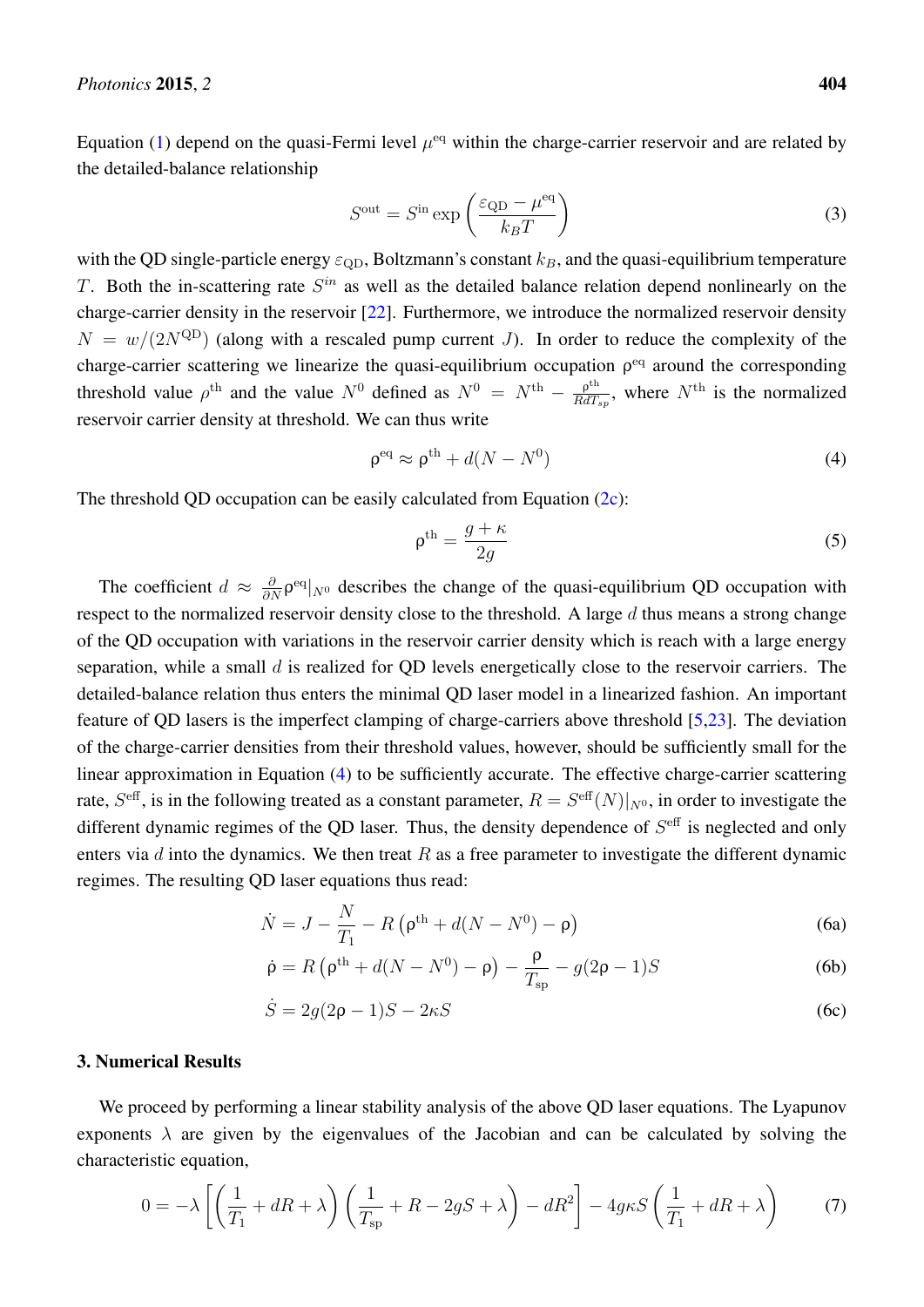Equation [\(1\)](#page-1-0) depend on the quasi-Fermi level  $\mu^{\text{eq}}$  within the charge-carrier reservoir and are related by the detailed-balance relationship

$$
S^{\text{out}} = S^{\text{in}} \exp\left(\frac{\varepsilon_{\text{QD}} - \mu^{\text{eq}}}{k_B T}\right) \tag{3}
$$

with the QD single-particle energy  $\varepsilon_{\text{OD}}$ , Boltzmann's constant  $k_B$ , and the quasi-equilibrium temperature T. Both the in-scattering rate  $S^{in}$  as well as the detailed balance relation depend nonlinearly on the charge-carrier density in the reservoir [\[22\]](#page-10-16). Furthermore, we introduce the normalized reservoir density  $N = w/(2N^{QD})$  (along with a rescaled pump current J). In order to reduce the complexity of the charge-carrier scattering we linearize the quasi-equilibrium occupation  $\rho<sup>eq</sup>$  around the corresponding threshold value  $\rho^{\text{th}}$  and the value  $N^0$  defined as  $N^0 = N^{\text{th}} - \frac{\rho^{\text{th}}}{RdT}$  $\frac{\rho^{\text{th}}}{RdT_{sp}}$ , where  $N^{\text{th}}$  is the normalized reservoir carrier density at threshold. We can thus write

$$
\rho^{\text{eq}} \approx \rho^{\text{th}} + d(N - N^0) \tag{4}
$$

The threshold QD occupation can be easily calculated from Equation [\(2c\)](#page-1-1):

<span id="page-2-0"></span>
$$
\rho^{\text{th}} = \frac{g + \kappa}{2g} \tag{5}
$$

The coefficient  $d \approx \frac{\partial}{\partial N} \rho^{\text{eq}}|_{N^0}$  describes the change of the quasi-equilibrium QD occupation with respect to the normalized reservoir density close to the threshold. A large  $d$  thus means a strong change of the QD occupation with variations in the reservoir carrier density which is reach with a large energy separation, while a small  $d$  is realized for QD levels energetically close to the reservoir carriers. The detailed-balance relation thus enters the minimal QD laser model in a linearized fashion. An important feature of QD lasers is the imperfect clamping of charge-carriers above threshold [\[5](#page-10-2)[,23\]](#page-11-0). The deviation of the charge-carrier densities from their threshold values, however, should be sufficiently small for the linear approximation in Equation [\(4\)](#page-2-0) to be sufficiently accurate. The effective charge-carrier scattering rate,  $S^{\text{eff}}$ , is in the following treated as a constant parameter,  $R = S^{\text{eff}}(N)|_{N^0}$ , in order to investigate the different dynamic regimes of the QD laser. Thus, the density dependence of  $S<sup>eff</sup>$  is neglected and only enters via  $d$  into the dynamics. We then treat  $R$  as a free parameter to investigate the different dynamic regimes. The resulting QD laser equations thus read:

$$
\dot{N} = J - \frac{N}{T_1} - R\left(\rho^{\text{th}} + d(N - N^0) - \rho\right)
$$
\n(6a)

$$
\dot{\rho} = R \left( \rho^{\text{th}} + d(N - N^0) - \rho \right) - \frac{\rho}{T_{\text{sp}}} - g(2\rho - 1)S \tag{6b}
$$

<span id="page-2-1"></span>
$$
\dot{S} = 2g(2\rho - 1)S - 2\kappa S \tag{6c}
$$

## 3. Numerical Results

We proceed by performing a linear stability analysis of the above OD laser equations. The Lyapunov exponents  $\lambda$  are given by the eigenvalues of the Jacobian and can be calculated by solving the characteristic equation,

$$
0 = -\lambda \left[ \left( \frac{1}{T_1} + dR + \lambda \right) \left( \frac{1}{T_{\rm sp}} + R - 2gS + \lambda \right) - dR^2 \right] - 4g\kappa S \left( \frac{1}{T_1} + dR + \lambda \right) \tag{7}
$$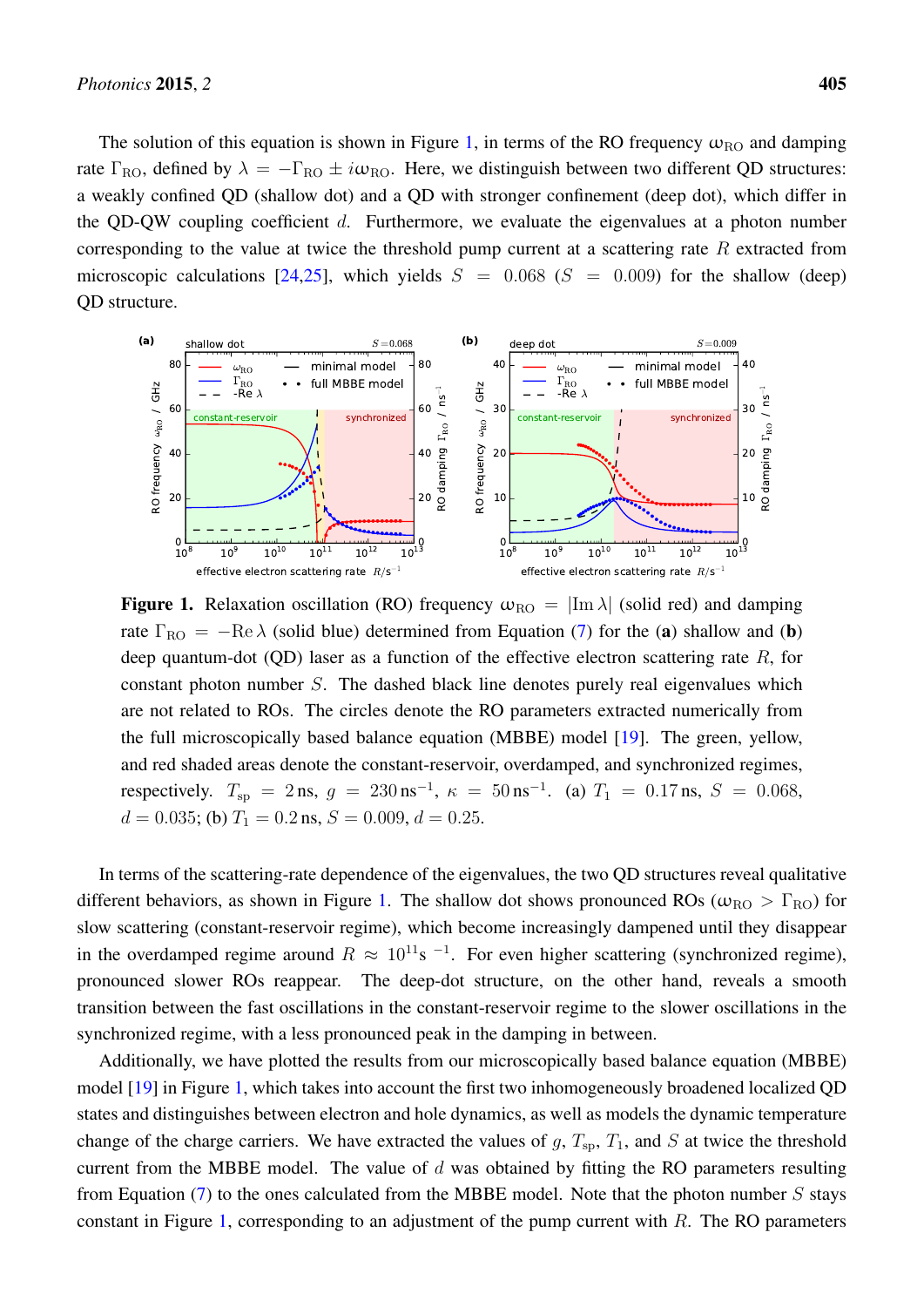The solution of this equation is shown in Figure [1,](#page-3-0) in terms of the RO frequency  $\omega_{\text{RO}}$  and damping rate  $\Gamma_{\text{RO}}$ , defined by  $\lambda = -\Gamma_{\text{RO}} \pm i\omega_{\text{RO}}$ . Here, we distinguish between two different QD structures: a weakly confined QD (shallow dot) and a QD with stronger confinement (deep dot), which differ in the QD-QW coupling coefficient  $d$ . Furthermore, we evaluate the eigenvalues at a photon number corresponding to the value at twice the threshold pump current at a scattering rate  $R$  extracted from microscopic calculations [\[24,](#page-11-1)[25\]](#page-11-2), which yields  $S = 0.068$  ( $S = 0.009$ ) for the shallow (deep) QD structure.

<span id="page-3-0"></span>

**Figure 1.** Relaxation oscillation (RO) frequency  $\omega_{\text{RO}} = |\text{Im }\lambda|$  (solid red) and damping rate  $\Gamma_{\text{RO}} = -\text{Re }\lambda$  (solid blue) determined from Equation [\(7\)](#page-2-1) for the (a) shallow and (b) deep quantum-dot  $(QD)$  laser as a function of the effective electron scattering rate  $R$ , for constant photon number S. The dashed black line denotes purely real eigenvalues which are not related to ROs. The circles denote the RO parameters extracted numerically from the full microscopically based balance equation (MBBE) model [\[19\]](#page-10-12). The green, yellow, and red shaded areas denote the constant-reservoir, overdamped, and synchronized regimes, respectively.  $T_{sp} = 2 \text{ ns}, g = 230 \text{ ns}^{-1}, \kappa = 50 \text{ ns}^{-1}$ . (a)  $T_1 = 0.17 \text{ ns}, S = 0.068$ ,  $d = 0.035$ ; (b)  $T_1 = 0.2$  ns,  $S = 0.009$ ,  $d = 0.25$ .

In terms of the scattering-rate dependence of the eigenvalues, the two QD structures reveal qualitative different behaviors, as shown in Figure [1.](#page-3-0) The shallow dot shows pronounced ROs ( $\omega_{\text{RO}} > \Gamma_{\text{RO}}$ ) for slow scattering (constant-reservoir regime), which become increasingly dampened until they disappear in the overdamped regime around  $R \approx 10^{11}$ s <sup>-1</sup>. For even higher scattering (synchronized regime), pronounced slower ROs reappear. The deep-dot structure, on the other hand, reveals a smooth transition between the fast oscillations in the constant-reservoir regime to the slower oscillations in the synchronized regime, with a less pronounced peak in the damping in between.

Additionally, we have plotted the results from our microscopically based balance equation (MBBE) model [\[19\]](#page-10-12) in Figure [1,](#page-3-0) which takes into account the first two inhomogeneously broadened localized QD states and distinguishes between electron and hole dynamics, as well as models the dynamic temperature change of the charge carriers. We have extracted the values of  $g, T_{sp}, T_1$ , and S at twice the threshold current from the MBBE model. The value of  $d$  was obtained by fitting the RO parameters resulting from Equation  $(7)$  to the ones calculated from the MBBE model. Note that the photon number S stays constant in Figure [1,](#page-3-0) corresponding to an adjustment of the pump current with  $R$ . The RO parameters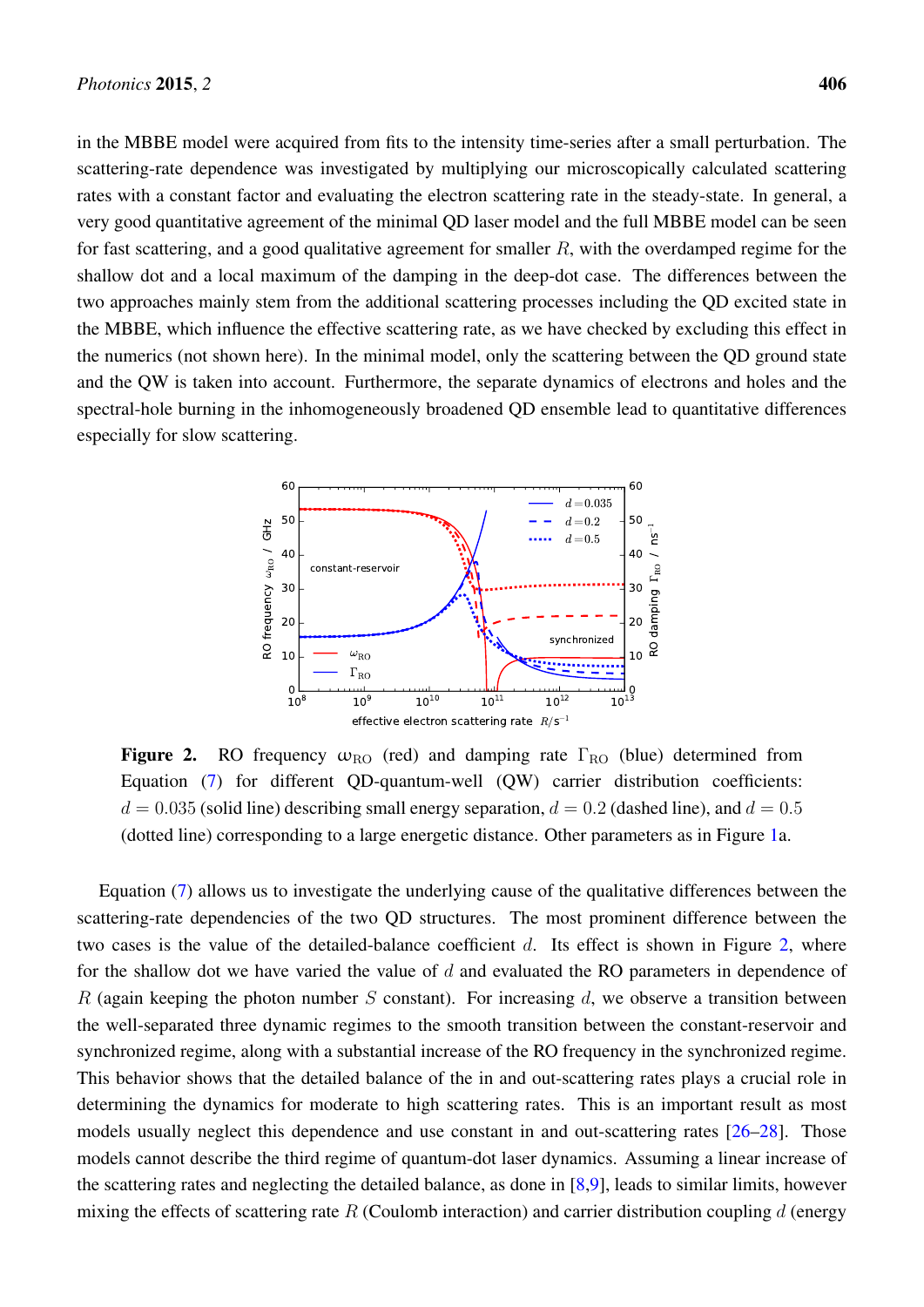in the MBBE model were acquired from fits to the intensity time-series after a small perturbation. The scattering-rate dependence was investigated by multiplying our microscopically calculated scattering rates with a constant factor and evaluating the electron scattering rate in the steady-state. In general, a very good quantitative agreement of the minimal QD laser model and the full MBBE model can be seen for fast scattering, and a good qualitative agreement for smaller  $R$ , with the overdamped regime for the shallow dot and a local maximum of the damping in the deep-dot case. The differences between the two approaches mainly stem from the additional scattering processes including the QD excited state in the MBBE, which influence the effective scattering rate, as we have checked by excluding this effect in the numerics (not shown here). In the minimal model, only the scattering between the QD ground state and the QW is taken into account. Furthermore, the separate dynamics of electrons and holes and the spectral-hole burning in the inhomogeneously broadened QD ensemble lead to quantitative differences especially for slow scattering.

<span id="page-4-0"></span>

**Figure 2.** RO frequency  $\omega_{\text{RO}}$  (red) and damping rate  $\Gamma_{\text{RO}}$  (blue) determined from Equation [\(7\)](#page-2-1) for different QD-quantum-well (QW) carrier distribution coefficients:  $d = 0.035$  (solid line) describing small energy separation,  $d = 0.2$  (dashed line), and  $d = 0.5$ (dotted line) corresponding to a large energetic distance. Other parameters as in Figure [1a](#page-3-0).

Equation [\(7\)](#page-2-1) allows us to investigate the underlying cause of the qualitative differences between the scattering-rate dependencies of the two QD structures. The most prominent difference between the two cases is the value of the detailed-balance coefficient  $d$ . Its effect is shown in Figure [2,](#page-4-0) where for the shallow dot we have varied the value of  $d$  and evaluated the RO parameters in dependence of R (again keeping the photon number S constant). For increasing d, we observe a transition between the well-separated three dynamic regimes to the smooth transition between the constant-reservoir and synchronized regime, along with a substantial increase of the RO frequency in the synchronized regime. This behavior shows that the detailed balance of the in and out-scattering rates plays a crucial role in determining the dynamics for moderate to high scattering rates. This is an important result as most models usually neglect this dependence and use constant in and out-scattering rates [\[26–](#page-11-3)[28\]](#page-11-4). Those models cannot describe the third regime of quantum-dot laser dynamics. Assuming a linear increase of the scattering rates and neglecting the detailed balance, as done in [\[8](#page-10-4)[,9\]](#page-10-5), leads to similar limits, however mixing the effects of scattering rate  $R$  (Coulomb interaction) and carrier distribution coupling  $d$  (energy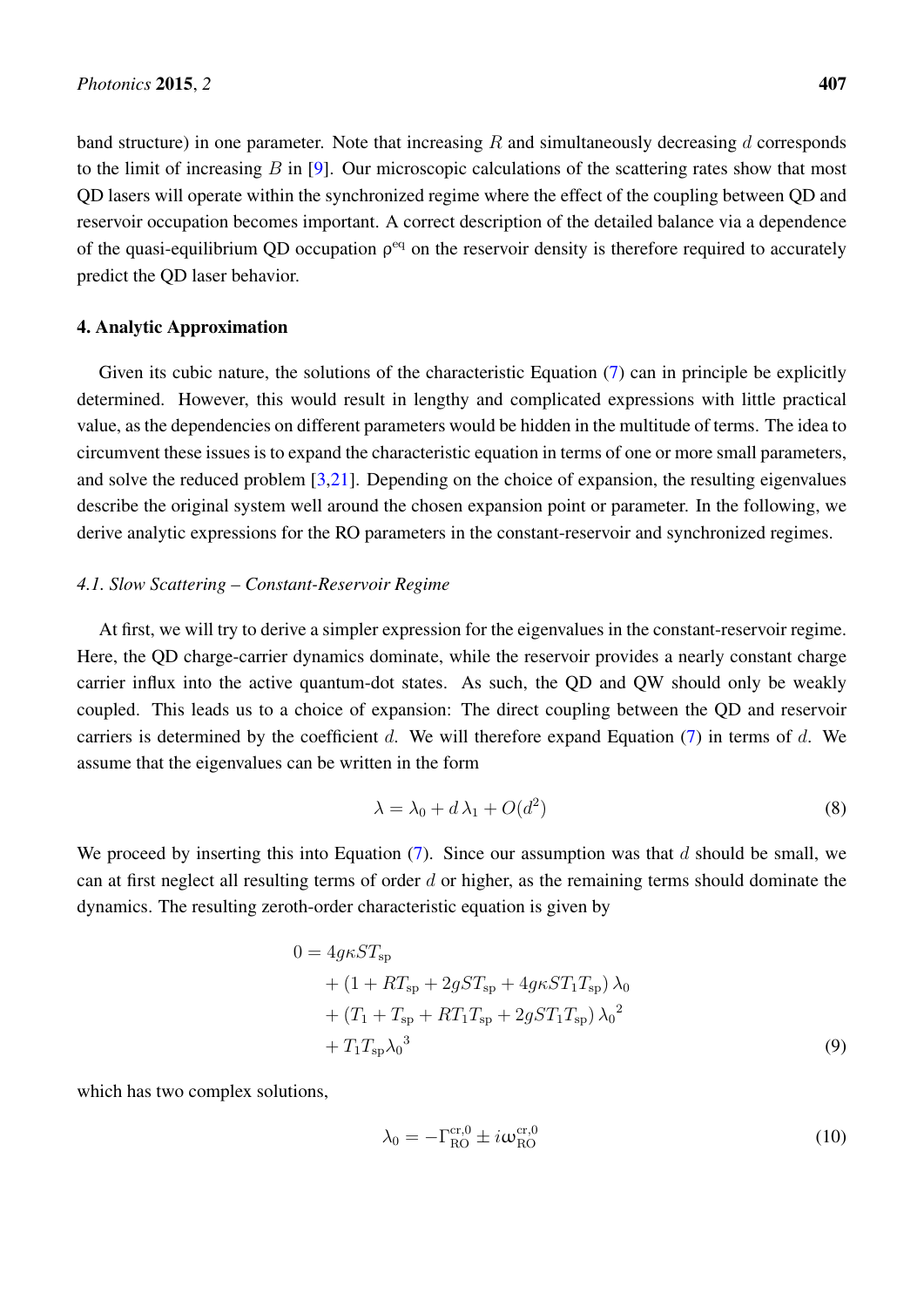band structure) in one parameter. Note that increasing  $R$  and simultaneously decreasing  $d$  corresponds to the limit of increasing  $B$  in [\[9\]](#page-10-5). Our microscopic calculations of the scattering rates show that most QD lasers will operate within the synchronized regime where the effect of the coupling between QD and reservoir occupation becomes important. A correct description of the detailed balance via a dependence of the quasi-equilibrium QD occupation  $\rho^{eq}$  on the reservoir density is therefore required to accurately predict the QD laser behavior.

## 4. Analytic Approximation

Given its cubic nature, the solutions of the characteristic Equation [\(7\)](#page-2-1) can in principle be explicitly determined. However, this would result in lengthy and complicated expressions with little practical value, as the dependencies on different parameters would be hidden in the multitude of terms. The idea to circumvent these issues is to expand the characteristic equation in terms of one or more small parameters, and solve the reduced problem [\[3](#page-10-0)[,21\]](#page-10-15). Depending on the choice of expansion, the resulting eigenvalues describe the original system well around the chosen expansion point or parameter. In the following, we derive analytic expressions for the RO parameters in the constant-reservoir and synchronized regimes.

# *4.1. Slow Scattering – Constant-Reservoir Regime*

At first, we will try to derive a simpler expression for the eigenvalues in the constant-reservoir regime. Here, the QD charge-carrier dynamics dominate, while the reservoir provides a nearly constant charge carrier influx into the active quantum-dot states. As such, the QD and QW should only be weakly coupled. This leads us to a choice of expansion: The direct coupling between the QD and reservoir carriers is determined by the coefficient d. We will therefore expand Equation  $(7)$  in terms of d. We assume that the eigenvalues can be written in the form

$$
\lambda = \lambda_0 + d\lambda_1 + O(d^2) \tag{8}
$$

We proceed by inserting this into Equation  $(7)$ . Since our assumption was that d should be small, we can at first neglect all resulting terms of order  $d$  or higher, as the remaining terms should dominate the dynamics. The resulting zeroth-order characteristic equation is given by

$$
0 = 4g\kappa ST_{sp}
$$
  
+  $(1 + RT_{sp} + 2gST_{sp} + 4g\kappa ST_{1}T_{sp}) \lambda_{0}$   
+  $(T_{1} + T_{sp} + RT_{1}T_{sp} + 2gST_{1}T_{sp}) \lambda_{0}^{2}$   
+  $T_{1}T_{sp}\lambda_{0}^{3}$  (9)

which has two complex solutions,

$$
\lambda_0 = -\Gamma_{\text{RO}}^{\text{cr},0} \pm i\omega_{\text{RO}}^{\text{cr},0} \tag{10}
$$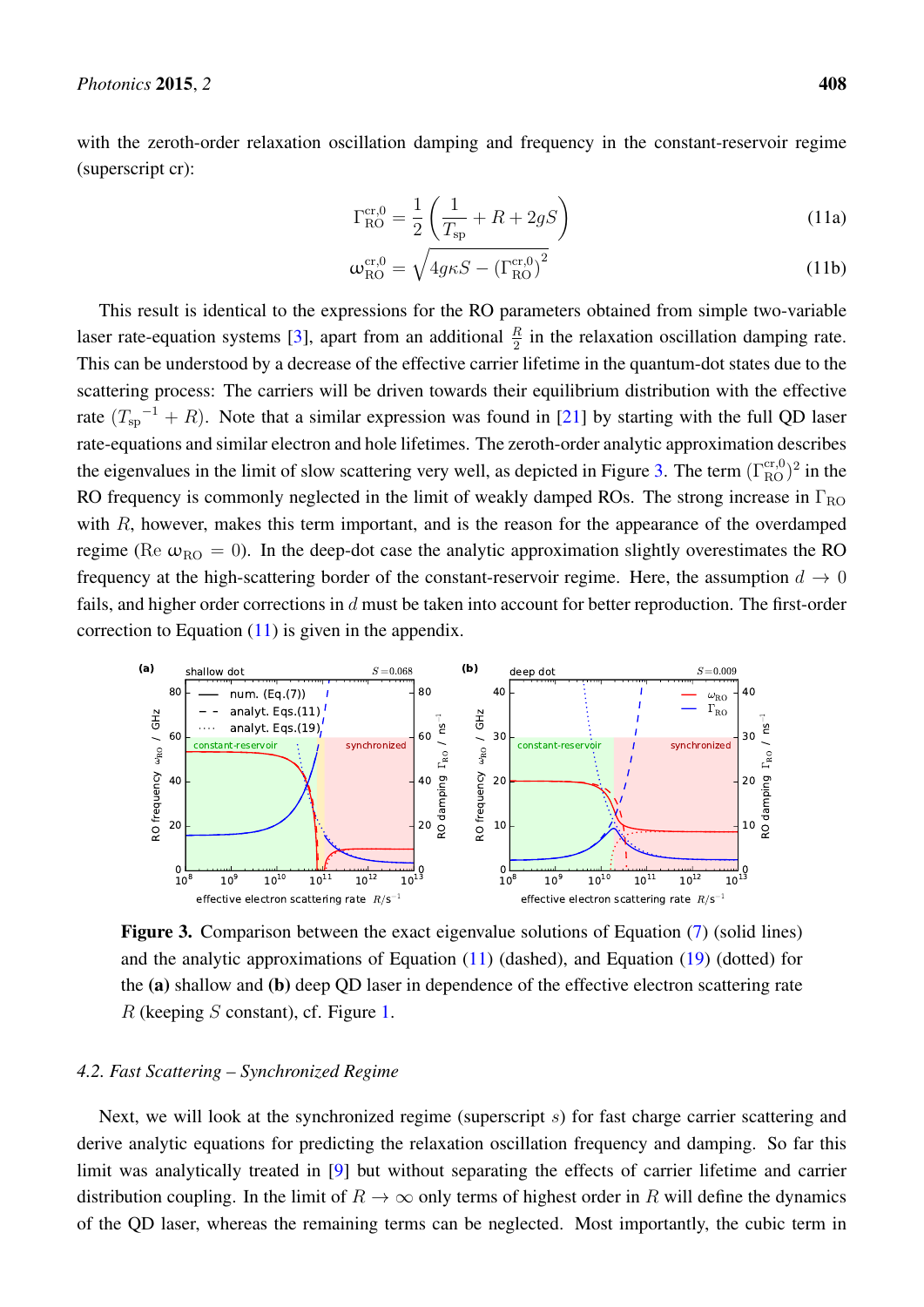<span id="page-6-1"></span>with the zeroth-order relaxation oscillation damping and frequency in the constant-reservoir regime (superscript cr):

$$
\Gamma_{\text{RO}}^{\text{cr,0}} = \frac{1}{2} \left( \frac{1}{T_{\text{sp}}} + R + 2gS \right)
$$
 (11a)

$$
\omega_{\text{RO}}^{\text{cr},0} = \sqrt{4g\kappa S - (\Gamma_{\text{RO}}^{\text{cr},0})^2}
$$
 (11b)

This result is identical to the expressions for the RO parameters obtained from simple two-variable laser rate-equation systems [\[3\]](#page-10-0), apart from an additional  $\frac{R}{2}$  in the relaxation oscillation damping rate. This can be understood by a decrease of the effective carrier lifetime in the quantum-dot states due to the scattering process: The carriers will be driven towards their equilibrium distribution with the effective rate  $(T_{sp}^{-1} + R)$ . Note that a similar expression was found in [\[21\]](#page-10-15) by starting with the full QD laser rate-equations and similar electron and hole lifetimes. The zeroth-order analytic approximation describes the eigenvalues in the limit of slow scattering very well, as depicted in Figure [3.](#page-6-0) The term  $(\Gamma_{\rm RO}^{\rm cr,0})^2$  in the RO frequency is commonly neglected in the limit of weakly damped ROs. The strong increase in  $\Gamma_{\text{RO}}$ with  $R$ , however, makes this term important, and is the reason for the appearance of the overdamped regime (Re  $\omega_{\text{RO}} = 0$ ). In the deep-dot case the analytic approximation slightly overestimates the RO frequency at the high-scattering border of the constant-reservoir regime. Here, the assumption  $d \rightarrow 0$ fails, and higher order corrections in d must be taken into account for better reproduction. The first-order correction to Equation  $(11)$  is given in the appendix.

<span id="page-6-0"></span>

Figure 3. Comparison between the exact eigenvalue solutions of Equation [\(7\)](#page-2-1) (solid lines) and the analytic approximations of Equation [\(11\)](#page-6-1) (dashed), and Equation [\(19\)](#page-7-0) (dotted) for the (a) shallow and (b) deep QD laser in dependence of the effective electron scattering rate  $R$  (keeping  $S$  constant), cf. Figure [1.](#page-3-0)

## *4.2. Fast Scattering – Synchronized Regime*

Next, we will look at the synchronized regime (superscript s) for fast charge carrier scattering and derive analytic equations for predicting the relaxation oscillation frequency and damping. So far this limit was analytically treated in [\[9\]](#page-10-5) but without separating the effects of carrier lifetime and carrier distribution coupling. In the limit of  $R \to \infty$  only terms of highest order in R will define the dynamics of the QD laser, whereas the remaining terms can be neglected. Most importantly, the cubic term in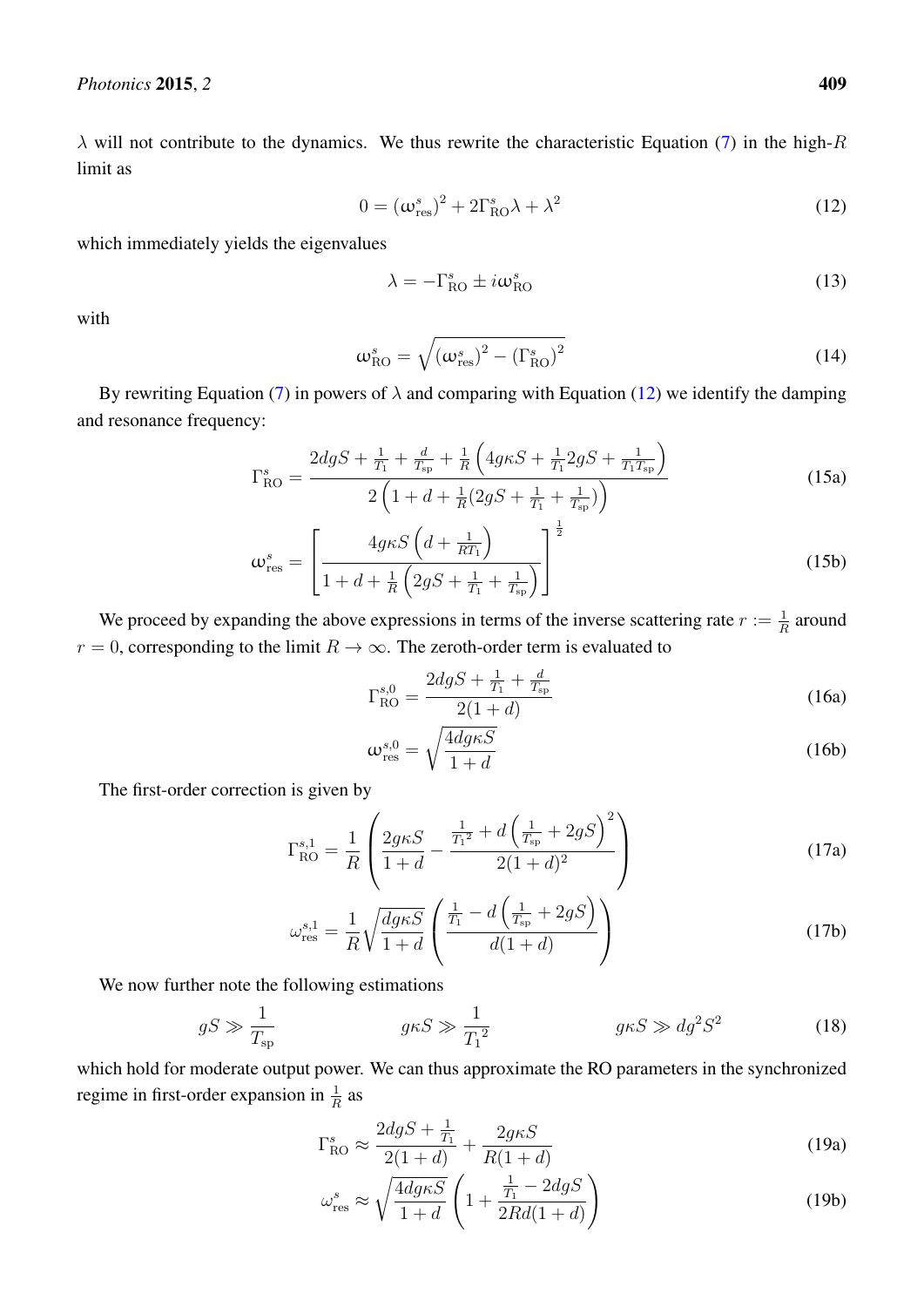$\lambda$  will not contribute to the dynamics. We thus rewrite the characteristic Equation [\(7\)](#page-2-1) in the high-R limit as

$$
0 = \left(\omega_{\rm res}^s\right)^2 + 2\Gamma_{\rm RO}^s \lambda + \lambda^2 \tag{12}
$$

which immediately yields the eigenvalues

<span id="page-7-2"></span><span id="page-7-1"></span>
$$
\lambda = -\Gamma_{\text{RO}}^s \pm i\omega_{\text{RO}}^s \tag{13}
$$

with

$$
\omega_{\rm RO}^s = \sqrt{\left(\omega_{\rm res}^s\right)^2 - \left(\Gamma_{\rm RO}^s\right)^2} \tag{14}
$$

By rewriting Equation [\(7\)](#page-2-1) in powers of  $\lambda$  and comparing with Equation [\(12\)](#page-7-1) we identify the damping and resonance frequency:

$$
\Gamma_{\text{RO}}^{s} = \frac{2d g S + \frac{1}{T_1} + \frac{d}{T_{\text{sp}}} + \frac{1}{R} \left( 4g \kappa S + \frac{1}{T_1} 2g S + \frac{1}{T_1 T_{\text{sp}}} \right)}{2 \left( 1 + d + \frac{1}{R} (2g S + \frac{1}{T_1} + \frac{1}{T_{\text{sp}}} ) \right)}
$$
(15a)

$$
\omega_{\rm res}^s = \left[\frac{4g\kappa S\left(d + \frac{1}{RT_1}\right)}{1 + d + \frac{1}{R}\left(2gS + \frac{1}{T_1} + \frac{1}{T_{\rm sp}}\right)}\right]^{\frac{1}{2}}
$$
(15b)

We proceed by expanding the above expressions in terms of the inverse scattering rate  $r := \frac{1}{R}$  around  $r = 0$ , corresponding to the limit  $R \to \infty$ . The zeroth-order term is evaluated to

$$
\Gamma_{\text{RO}}^{s,0} = \frac{2dgS + \frac{1}{T_1} + \frac{d}{T_{\text{sp}}}}{2(1+d)}
$$
(16a)

$$
\omega_{\rm res}^{s,0} = \sqrt{\frac{4dg\kappa S}{1+d}}
$$
 (16b)

The first-order correction is given by

$$
\Gamma_{\text{RO}}^{s,1} = \frac{1}{R} \left( \frac{2g\kappa S}{1+d} - \frac{\frac{1}{T_1^2} + d\left(\frac{1}{T_{\text{sp}}} + 2gS\right)^2}{2(1+d)^2} \right) \tag{17a}
$$

$$
\omega_{\rm res}^{s,1} = \frac{1}{R} \sqrt{\frac{dg\kappa S}{1+d}} \left( \frac{\frac{1}{T_1} - d\left(\frac{1}{T_{\rm sp}} + 2gS\right)}{d(1+d)} \right) \tag{17b}
$$

We now further note the following estimations

$$
gS \gg \frac{1}{T_{\rm sp}} \qquad \qquad g\kappa S \gg \frac{1}{T_1^2} \qquad \qquad g\kappa S \gg dg^2 S^2 \qquad \qquad (18)
$$

which hold for moderate output power. We can thus approximate the RO parameters in the synchronized regime in first-order expansion in  $\frac{1}{R}$  as

<span id="page-7-0"></span>
$$
\Gamma_{\text{RO}}^{s} \approx \frac{2dgS + \frac{1}{T_1}}{2(1+d)} + \frac{2g\kappa S}{R(1+d)}
$$
(19a)

$$
\omega_{\rm res}^s \approx \sqrt{\frac{4d g \kappa S}{1+d}} \left( 1 + \frac{\frac{1}{T_1} - 2d g S}{2R d (1+d)} \right)
$$
(19b)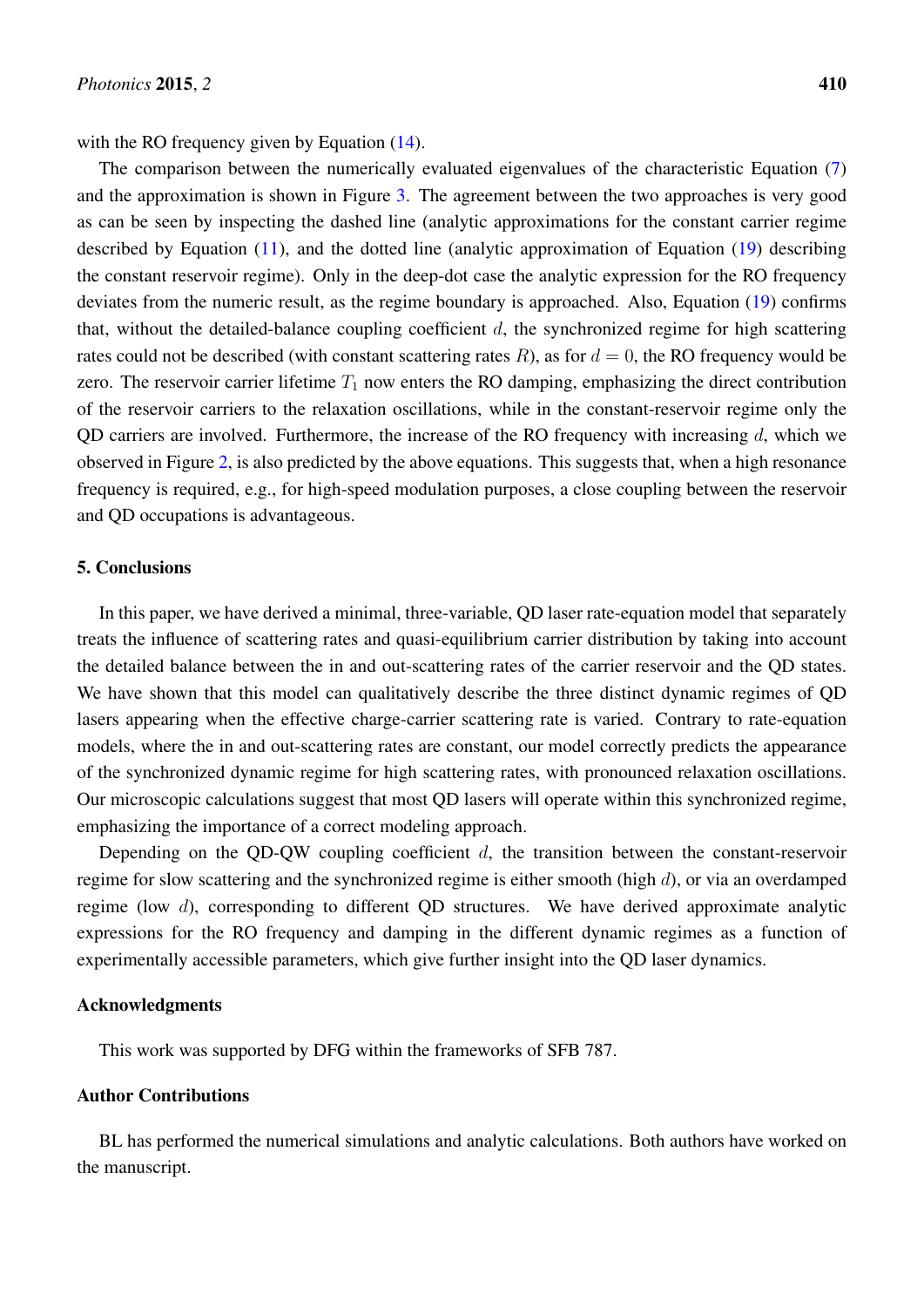with the RO frequency given by Equation  $(14)$ .

The comparison between the numerically evaluated eigenvalues of the characteristic Equation [\(7\)](#page-2-1) and the approximation is shown in Figure [3.](#page-6-0) The agreement between the two approaches is very good as can be seen by inspecting the dashed line (analytic approximations for the constant carrier regime described by Equation [\(11\)](#page-6-1), and the dotted line (analytic approximation of Equation [\(19\)](#page-7-0) describing the constant reservoir regime). Only in the deep-dot case the analytic expression for the RO frequency deviates from the numeric result, as the regime boundary is approached. Also, Equation [\(19\)](#page-7-0) confirms that, without the detailed-balance coupling coefficient  $d$ , the synchronized regime for high scattering rates could not be described (with constant scattering rates  $R$ ), as for  $d = 0$ , the RO frequency would be zero. The reservoir carrier lifetime  $T_1$  now enters the RO damping, emphasizing the direct contribution of the reservoir carriers to the relaxation oscillations, while in the constant-reservoir regime only the QD carriers are involved. Furthermore, the increase of the RO frequency with increasing  $d$ , which we observed in Figure [2,](#page-4-0) is also predicted by the above equations. This suggests that, when a high resonance frequency is required, e.g., for high-speed modulation purposes, a close coupling between the reservoir and QD occupations is advantageous.

## 5. Conclusions

In this paper, we have derived a minimal, three-variable, QD laser rate-equation model that separately treats the influence of scattering rates and quasi-equilibrium carrier distribution by taking into account the detailed balance between the in and out-scattering rates of the carrier reservoir and the QD states. We have shown that this model can qualitatively describe the three distinct dynamic regimes of QD lasers appearing when the effective charge-carrier scattering rate is varied. Contrary to rate-equation models, where the in and out-scattering rates are constant, our model correctly predicts the appearance of the synchronized dynamic regime for high scattering rates, with pronounced relaxation oscillations. Our microscopic calculations suggest that most QD lasers will operate within this synchronized regime, emphasizing the importance of a correct modeling approach.

Depending on the QD-QW coupling coefficient  $d$ , the transition between the constant-reservoir regime for slow scattering and the synchronized regime is either smooth (high  $d$ ), or via an overdamped regime (low  $d$ ), corresponding to different QD structures. We have derived approximate analytic expressions for the RO frequency and damping in the different dynamic regimes as a function of experimentally accessible parameters, which give further insight into the QD laser dynamics.

# Acknowledgments

This work was supported by DFG within the frameworks of SFB 787.

# Author Contributions

BL has performed the numerical simulations and analytic calculations. Both authors have worked on the manuscript.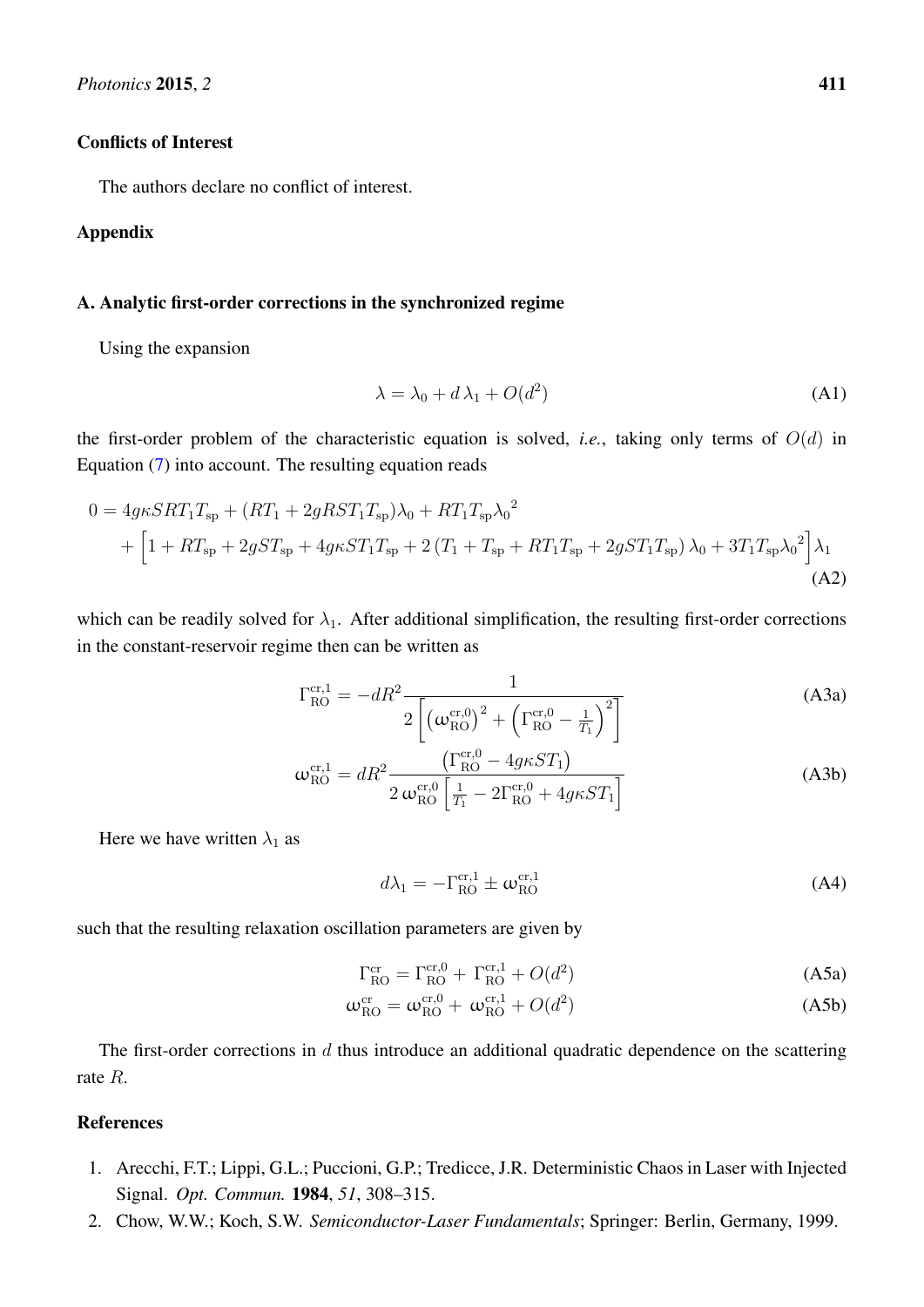## Conflicts of Interest

The authors declare no conflict of interest.

# Appendix

## A. Analytic first-order corrections in the synchronized regime

Using the expansion

$$
\lambda = \lambda_0 + d\lambda_1 + O(d^2) \tag{A1}
$$

the first-order problem of the characteristic equation is solved, *i.e.*, taking only terms of  $O(d)$  in Equation [\(7\)](#page-2-1) into account. The resulting equation reads

$$
0 = 4g\kappa SRT_{1}T_{sp} + (RT_{1} + 2gRST_{1}T_{sp})\lambda_{0} + RT_{1}T_{sp}\lambda_{0}^{2}
$$
  
+  $\left[1 + RT_{sp} + 2gST_{sp} + 4g\kappa ST_{1}T_{sp} + 2(T_{1} + T_{sp} + RT_{1}T_{sp} + 2gST_{1}T_{sp})\lambda_{0} + 3T_{1}T_{sp}\lambda_{0}^{2}\right]\lambda_{1}$   
(A2)

which can be readily solved for  $\lambda_1$ . After additional simplification, the resulting first-order corrections in the constant-reservoir regime then can be written as

$$
\Gamma_{\text{RO}}^{\text{cr},1} = -dR^2 \frac{1}{2\left[ \left( \omega_{\text{RO}}^{\text{cr},0} \right)^2 + \left( \Gamma_{\text{RO}}^{\text{cr},0} - \frac{1}{T_1} \right)^2 \right]}
$$
(A3a)

$$
\omega_{\text{RO}}^{\text{cr,1}} = dR^2 \frac{\left(\Gamma_{\text{RO}}^{\text{cr,0}} - 4g\kappa ST_1\right)}{2\omega_{\text{RO}}^{\text{cr,0}}\left[\frac{1}{T_1} - 2\Gamma_{\text{RO}}^{\text{cr,0}} + 4g\kappa ST_1\right]}
$$
(A3b)

Here we have written  $\lambda_1$  as

$$
d\lambda_1 = -\Gamma_{\text{RO}}^{\text{cr},1} \pm \omega_{\text{RO}}^{\text{cr},1} \tag{A4}
$$

such that the resulting relaxation oscillation parameters are given by

$$
\Gamma_{\text{RO}}^{\text{cr}} = \Gamma_{\text{RO}}^{\text{cr},0} + \Gamma_{\text{RO}}^{\text{cr},1} + O(d^2)
$$
\n(A5a)

$$
\omega_{\text{RO}}^{\text{cr}} = \omega_{\text{RO}}^{\text{cr},0} + \omega_{\text{RO}}^{\text{cr},1} + O(d^2)
$$
\n(A5b)

The first-order corrections in  $d$  thus introduce an additional quadratic dependence on the scattering rate R.

# References

- <span id="page-9-0"></span>1. Arecchi, F.T.; Lippi, G.L.; Puccioni, G.P.; Tredicce, J.R. Deterministic Chaos in Laser with Injected Signal. *Opt. Commun.* 1984, *51*, 308–315.
- <span id="page-9-1"></span>2. Chow, W.W.; Koch, S.W. *Semiconductor-Laser Fundamentals*; Springer: Berlin, Germany, 1999.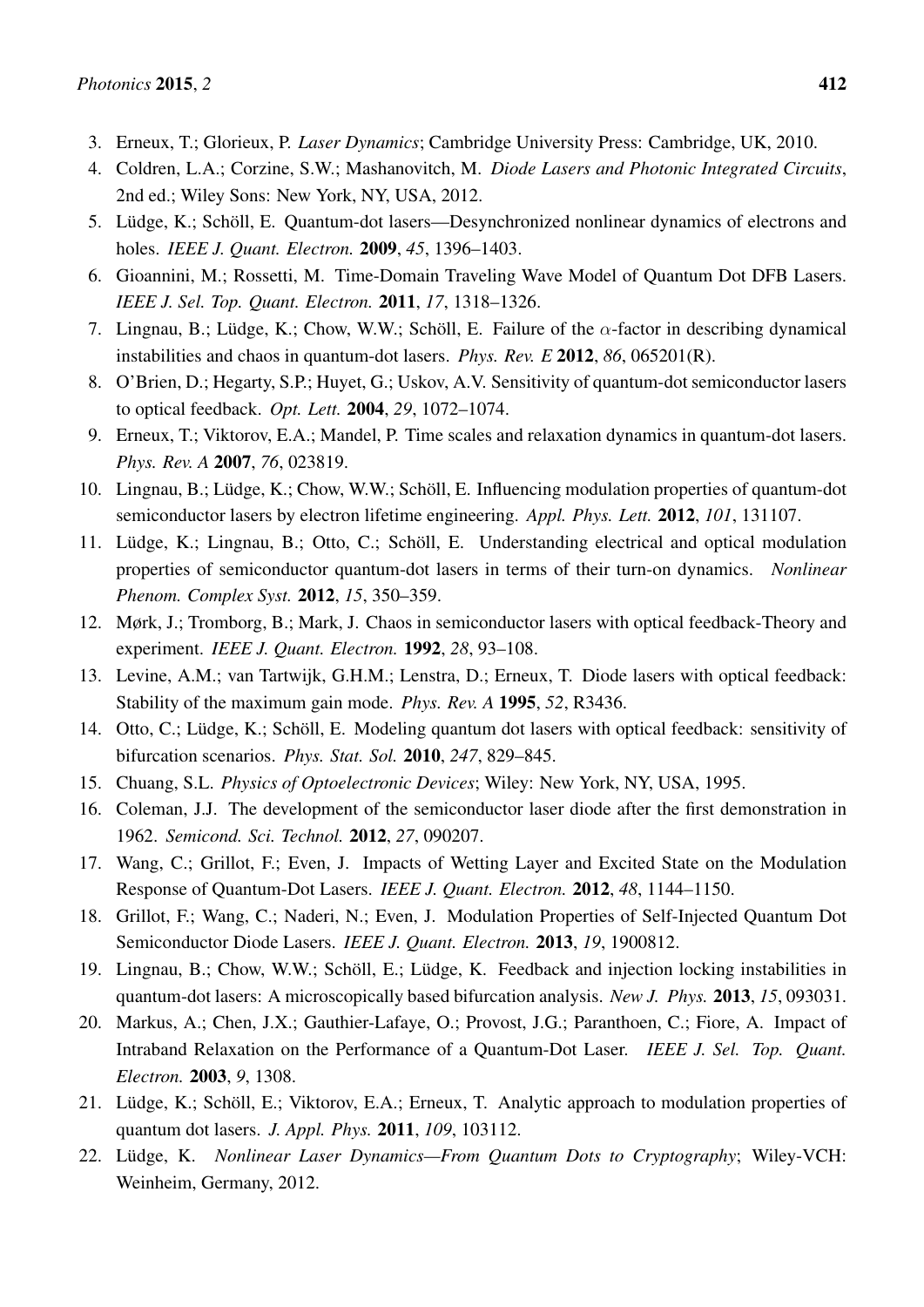- <span id="page-10-0"></span>3. Erneux, T.; Glorieux, P. *Laser Dynamics*; Cambridge University Press: Cambridge, UK, 2010.
- <span id="page-10-1"></span>4. Coldren, L.A.; Corzine, S.W.; Mashanovitch, M. *Diode Lasers and Photonic Integrated Circuits*, 2nd ed.; Wiley Sons: New York, NY, USA, 2012.
- <span id="page-10-2"></span>5. Lüdge, K.; Schöll, E. Quantum-dot lasers—Desynchronized nonlinear dynamics of electrons and holes. *IEEE J. Quant. Electron.* 2009, *45*, 1396–1403.
- 6. Gioannini, M.; Rossetti, M. Time-Domain Traveling Wave Model of Quantum Dot DFB Lasers. *IEEE J. Sel. Top. Quant. Electron.* 2011, *17*, 1318–1326.
- <span id="page-10-3"></span>7. Lingnau, B.; Lüdge, K.; Chow, W.W.; Schöll, E. Failure of the  $\alpha$ -factor in describing dynamical instabilities and chaos in quantum-dot lasers. *Phys. Rev. E* 2012, *86*, 065201(R).
- <span id="page-10-4"></span>8. O'Brien, D.; Hegarty, S.P.; Huyet, G.; Uskov, A.V. Sensitivity of quantum-dot semiconductor lasers to optical feedback. *Opt. Lett.* 2004, *29*, 1072–1074.
- <span id="page-10-5"></span>9. Erneux, T.; Viktorov, E.A.; Mandel, P. Time scales and relaxation dynamics in quantum-dot lasers. *Phys. Rev. A* 2007, *76*, 023819.
- <span id="page-10-6"></span>10. Lingnau, B.; Lüdge, K.; Chow, W.W.; Schöll, E. Influencing modulation properties of quantum-dot semiconductor lasers by electron lifetime engineering. *Appl. Phys. Lett.* 2012, *101*, 131107.
- <span id="page-10-7"></span>11. Lüdge, K.; Lingnau, B.; Otto, C.; Schöll, E. Understanding electrical and optical modulation properties of semiconductor quantum-dot lasers in terms of their turn-on dynamics. *Nonlinear Phenom. Complex Syst.* 2012, *15*, 350–359.
- <span id="page-10-8"></span>12. Mørk, J.; Tromborg, B.; Mark, J. Chaos in semiconductor lasers with optical feedback-Theory and experiment. *IEEE J. Quant. Electron.* 1992, *28*, 93–108.
- 13. Levine, A.M.; van Tartwijk, G.H.M.; Lenstra, D.; Erneux, T. Diode lasers with optical feedback: Stability of the maximum gain mode. *Phys. Rev. A* 1995, *52*, R3436.
- <span id="page-10-9"></span>14. Otto, C.; Lüdge, K.; Schöll, E. Modeling quantum dot lasers with optical feedback: sensitivity of bifurcation scenarios. *Phys. Stat. Sol.* 2010, *247*, 829–845.
- <span id="page-10-10"></span>15. Chuang, S.L. *Physics of Optoelectronic Devices*; Wiley: New York, NY, USA, 1995.
- 16. Coleman, J.J. The development of the semiconductor laser diode after the first demonstration in 1962. *Semicond. Sci. Technol.* 2012, *27*, 090207.
- <span id="page-10-13"></span>17. Wang, C.; Grillot, F.; Even, J. Impacts of Wetting Layer and Excited State on the Modulation Response of Quantum-Dot Lasers. *IEEE J. Quant. Electron.* 2012, *48*, 1144–1150.
- <span id="page-10-11"></span>18. Grillot, F.; Wang, C.; Naderi, N.; Even, J. Modulation Properties of Self-Injected Quantum Dot Semiconductor Diode Lasers. *IEEE J. Quant. Electron.* 2013, *19*, 1900812.
- <span id="page-10-12"></span>19. Lingnau, B.; Chow, W.W.; Schöll, E.; Lüdge, K. Feedback and injection locking instabilities in quantum-dot lasers: A microscopically based bifurcation analysis. *New J. Phys.* 2013, *15*, 093031.
- <span id="page-10-14"></span>20. Markus, A.; Chen, J.X.; Gauthier-Lafaye, O.; Provost, J.G.; Paranthoen, C.; Fiore, A. Impact of Intraband Relaxation on the Performance of a Quantum-Dot Laser. *IEEE J. Sel. Top. Quant. Electron.* 2003, *9*, 1308.
- <span id="page-10-15"></span>21. Lüdge, K.; Schöll, E.; Viktorov, E.A.; Erneux, T. Analytic approach to modulation properties of quantum dot lasers. *J. Appl. Phys.* 2011, *109*, 103112.
- <span id="page-10-16"></span>22. Lüdge, K. *Nonlinear Laser Dynamics—From Quantum Dots to Cryptography*; Wiley-VCH: Weinheim, Germany, 2012.